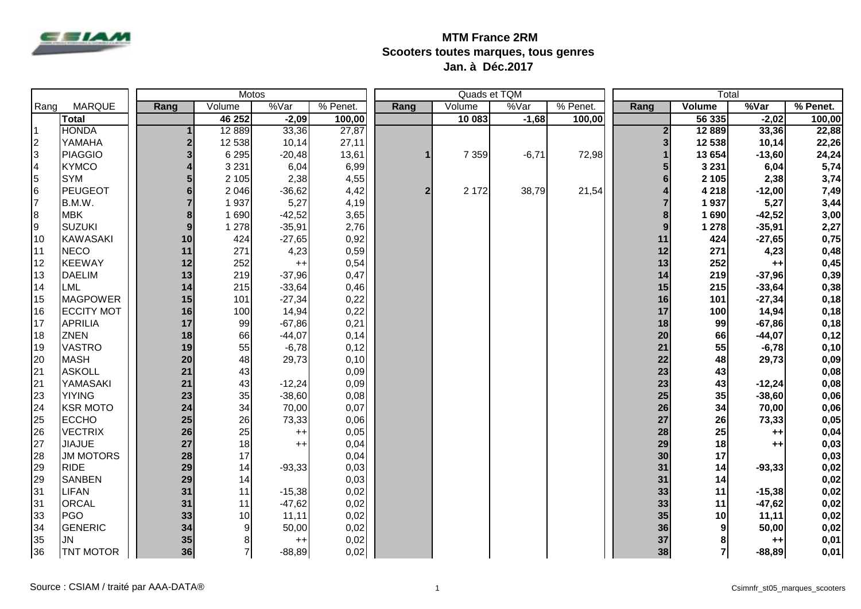

## **MTM France 2RM Scooters toutes marques, tous genres Jan. à Déc.2017**

|                |                   |  |                         |                | Motos           |          | Quads et TQM     |         |         |          | Total                   |                 |          |          |
|----------------|-------------------|--|-------------------------|----------------|-----------------|----------|------------------|---------|---------|----------|-------------------------|-----------------|----------|----------|
| Rang           | <b>MARQUE</b>     |  | Rang                    | Volume         | %Var            | % Penet. | Rang             | Volume  | %Var    | % Penet. | Rang                    | Volume          | %Var     | % Penet. |
|                | <b>Total</b>      |  |                         | 46 252         | $-2,09$         | 100,00   |                  | 10 083  | $-1,68$ | 100,00   |                         | 56 335          | $-2,02$  | 100,00   |
| 11             | <b>HONDA</b>      |  | 1                       | 12 8 89        | 33,36           | 27,87    |                  |         |         |          | $\mathbf{2}$            | 12 8 89         | 33,36    | 22,88    |
| $\vert$ 2      | YAMAHA            |  | $\boldsymbol{2}$        | 12 538         | 10,14           | 27,11    |                  |         |         |          | $\overline{\mathbf{3}}$ | 12 538          | 10,14    | 22,26    |
| 3              | PIAGGIO           |  | $\overline{\mathbf{3}}$ | 6 2 9 5        | $-20,48$        | 13,61    | $\mathbf{1}$     | 7 3 5 9 | $-6,71$ | 72,98    | 1                       | 13 654          | $-13,60$ | 24,24    |
| $\overline{4}$ | <b>KYMCO</b>      |  | 4                       | 3 2 3 1        | 6,04            | 6,99     |                  |         |         |          | $5\overline{)}$         | 3 2 3 1         | 6,04     | 5,74     |
| 5              | <b>SYM</b>        |  | 5                       | 2 1 0 5        | 2,38            | 4,55     |                  |         |         |          | $6\phantom{a}$          | 2 105           | 2,38     | 3,74     |
| 6              | <b>PEUGEOT</b>    |  | 6                       | 2 0 4 6        | $-36,62$        | 4,42     | $\boldsymbol{2}$ | 2 1 7 2 | 38,79   | 21,54    | 4                       | 4 2 18          | $-12,00$ | 7,49     |
| l7             | B.M.W.            |  | $\overline{7}$          | 1937           | 5,27            | 4,19     |                  |         |         |          | $\overline{7}$          | 1937            | 5,27     | 3,44     |
| 8              | <b>MBK</b>        |  | 8                       | 1 6 9 0        | $-42,52$        | 3,65     |                  |         |         |          | 8                       | 1690            | $-42,52$ | 3,00     |
| Ι9             | SUZUKI            |  | 9                       | 1 2 7 8        | $-35,91$        | 2,76     |                  |         |         |          | 9                       | 1 278           | $-35,91$ | 2,27     |
| 10             | <b>KAWASAKI</b>   |  | 10                      | 424            | $-27,65$        | 0,92     |                  |         |         |          | 11                      | 424             | $-27,65$ | 0,75     |
| 11             | <b>NECO</b>       |  | 11                      | 271            | 4,23            | 0,59     |                  |         |         |          | 12                      | 271             | 4,23     | 0,48     |
| 12             | <b>KEEWAY</b>     |  | 12                      | 252            | $++$            | 0,54     |                  |         |         |          | 13                      | 252             | $++$     | 0,45     |
| 13             | <b>DAELIM</b>     |  | 13                      | 219            | $-37,96$        | 0,47     |                  |         |         |          | 14                      | 219             | $-37,96$ | 0,39     |
| 14             | LML               |  | 14                      | 215            | $-33,64$        | 0,46     |                  |         |         |          | 15                      | 215             | $-33,64$ | 0,38     |
| 15             | <b>MAGPOWER</b>   |  | 15                      | 101            | $-27,34$        | 0,22     |                  |         |         |          | 16                      | 101             | $-27,34$ | 0,18     |
| 16             | <b>ECCITY MOT</b> |  | 16                      | 100            | 14,94           | 0,22     |                  |         |         |          | 17                      | 100             | 14,94    | 0,18     |
| 17             | <b>APRILIA</b>    |  | 17                      | 99             | $-67,86$        | 0,21     |                  |         |         |          | 18                      | 99              | $-67,86$ | 0,18     |
| 18             | <b>ZNEN</b>       |  | 18                      | 66             | $-44,07$        | 0,14     |                  |         |         |          | 20                      | 66              | $-44,07$ | 0,12     |
| 19             | <b>VASTRO</b>     |  | 19                      | 55             | $-6,78$         | 0,12     |                  |         |         |          | 21                      | 55              | $-6,78$  | 0,10     |
| 20             | <b>MASH</b>       |  | 20                      | 48             | 29,73           | 0,10     |                  |         |         |          | 22                      | 48              | 29,73    | 0,09     |
| 21             | <b>ASKOLL</b>     |  | 21                      | 43             |                 | 0,09     |                  |         |         |          | 23                      | 43              |          | 0,08     |
| 21             | YAMASAKI          |  | 21                      | 43             | $-12,24$        | 0,09     |                  |         |         |          | 23                      | 43              | $-12,24$ | 0,08     |
| 23             | <b>YIYING</b>     |  | 23                      | 35             | $-38,60$        | 0,08     |                  |         |         |          | 25                      | 35              | $-38,60$ | 0,06     |
| 24             | <b>KSR MOTO</b>   |  | 24                      | 34             | 70,00           | 0,07     |                  |         |         |          | 26                      | 34              | 70,00    | 0,06     |
| 25             | <b>ECCHO</b>      |  | 25                      | 26             | 73,33           | 0,06     |                  |         |         |          | 27                      | 26              | 73,33    | 0,05     |
| 26             | <b>VECTRIX</b>    |  | 26                      | 25             | $^{++}$         | 0,05     |                  |         |         |          | 28                      | 25              | $++$     | 0,04     |
| 27             | <b>JIAJUE</b>     |  | 27                      | 18             | $^{++}$         | 0,04     |                  |         |         |          | 29                      | 18              | $++$     | 0,03     |
| 28             | <b>JM MOTORS</b>  |  | 28                      | 17             |                 | 0,04     |                  |         |         |          | 30                      | 17              |          | 0,03     |
| 29             | <b>RIDE</b>       |  | 29                      | 14             | $-93,33$        | 0,03     |                  |         |         |          | 31                      | 14              | $-93,33$ | 0,02     |
| 29             | <b>SANBEN</b>     |  | 29                      | 14             |                 | 0,03     |                  |         |         |          | 31                      | 14              |          | 0,02     |
| 31             | LIFAN             |  | 31                      | 11             | $-15,38$        | 0,02     |                  |         |         |          | 33                      | 11              | $-15,38$ | 0,02     |
| 31             | <b>ORCAL</b>      |  | 31                      | 11             | $-47,62$        | 0,02     |                  |         |         |          | 33                      | 11              | $-47,62$ | 0,02     |
| 33             | <b>PGO</b>        |  | 33                      | 10             | 11,11           | 0,02     |                  |         |         |          | 35                      | 10 <sup>1</sup> | 11,11    | 0,02     |
| 34             | GENERIC           |  | 34                      | 9              | 50,00           | 0,02     |                  |         |         |          | 36                      | 9               | 50,00    | 0,02     |
| 35             | <b>JN</b>         |  | 35                      | 8              | $^{\mathrm{+}}$ | 0,02     |                  |         |         |          | 37                      | 8               | $++$     | 0,01     |
| 36             | <b>TNT MOTOR</b>  |  | 36                      | $\overline{7}$ | $-88,89$        | 0,02     |                  |         |         |          | 38                      | $\mathbf{7}$    | $-88,89$ | 0,01     |